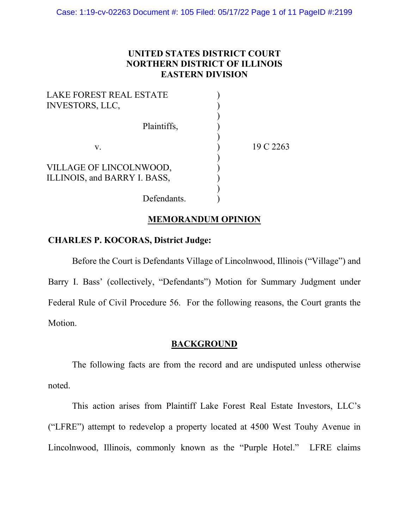# **UNITED STATES DISTRICT COURT NORTHERN DISTRICT OF ILLINOIS EASTERN DIVISION**

| <b>LAKE FOREST REAL ESTATE</b> |           |
|--------------------------------|-----------|
| <b>INVESTORS, LLC,</b>         |           |
|                                |           |
| Plaintiffs,                    |           |
|                                |           |
| V.                             | 19 C 2263 |
|                                |           |
| VILLAGE OF LINCOLNWOOD,        |           |
| ILLINOIS, and BARRY I. BASS,   |           |
|                                |           |
| Defendants.                    |           |
|                                |           |

# **MEMORANDUM OPINION**

# **CHARLES P. KOCORAS, District Judge:**

Before the Court is Defendants Village of Lincolnwood, Illinois ("Village") and Barry I. Bass' (collectively, "Defendants") Motion for Summary Judgment under Federal Rule of Civil Procedure 56. For the following reasons, the Court grants the Motion.

## **BACKGROUND**

The following facts are from the record and are undisputed unless otherwise noted.

This action arises from Plaintiff Lake Forest Real Estate Investors, LLC's ("LFRE") attempt to redevelop a property located at 4500 West Touhy Avenue in Lincolnwood, Illinois, commonly known as the "Purple Hotel." LFRE claims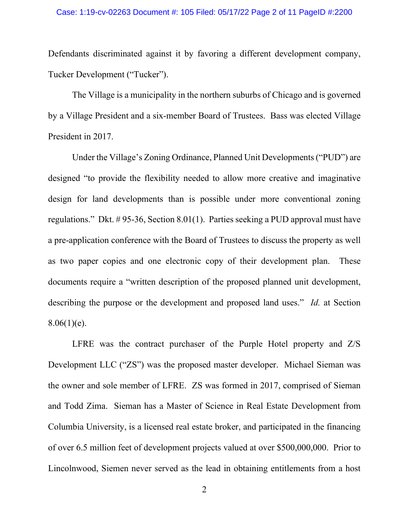Defendants discriminated against it by favoring a different development company, Tucker Development ("Tucker").

The Village is a municipality in the northern suburbs of Chicago and is governed by a Village President and a six-member Board of Trustees. Bass was elected Village President in 2017.

Under the Village's Zoning Ordinance, Planned Unit Developments ("PUD") are designed "to provide the flexibility needed to allow more creative and imaginative design for land developments than is possible under more conventional zoning regulations." Dkt. # 95-36, Section 8.01(1). Parties seeking a PUD approval must have a pre-application conference with the Board of Trustees to discuss the property as well as two paper copies and one electronic copy of their development plan. These documents require a "written description of the proposed planned unit development, describing the purpose or the development and proposed land uses." *Id.* at Section  $8.06(1)(e)$ .

LFRE was the contract purchaser of the Purple Hotel property and Z/S Development LLC ("ZS") was the proposed master developer. Michael Sieman was the owner and sole member of LFRE. ZS was formed in 2017, comprised of Sieman and Todd Zima. Sieman has a Master of Science in Real Estate Development from Columbia University, is a licensed real estate broker, and participated in the financing of over 6.5 million feet of development projects valued at over \$500,000,000. Prior to Lincolnwood, Siemen never served as the lead in obtaining entitlements from a host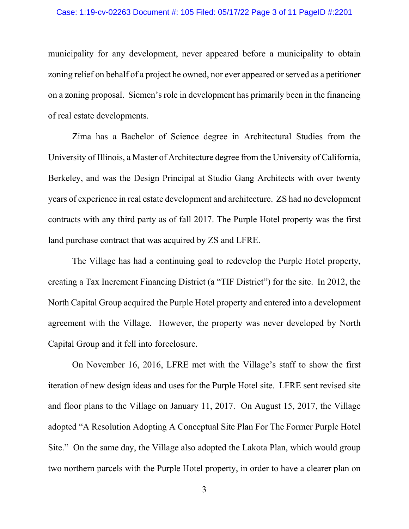municipality for any development, never appeared before a municipality to obtain zoning relief on behalf of a project he owned, nor ever appeared or served as a petitioner on a zoning proposal. Siemen's role in development has primarily been in the financing of real estate developments.

Zima has a Bachelor of Science degree in Architectural Studies from the University of Illinois, a Master of Architecture degree from the University of California, Berkeley, and was the Design Principal at Studio Gang Architects with over twenty years of experience in real estate development and architecture. ZS had no development contracts with any third party as of fall 2017. The Purple Hotel property was the first land purchase contract that was acquired by ZS and LFRE.

The Village has had a continuing goal to redevelop the Purple Hotel property, creating a Tax Increment Financing District (a "TIF District") for the site. In 2012, the North Capital Group acquired the Purple Hotel property and entered into a development agreement with the Village. However, the property was never developed by North Capital Group and it fell into foreclosure.

On November 16, 2016, LFRE met with the Village's staff to show the first iteration of new design ideas and uses for the Purple Hotel site. LFRE sent revised site and floor plans to the Village on January 11, 2017. On August 15, 2017, the Village adopted "A Resolution Adopting A Conceptual Site Plan For The Former Purple Hotel Site." On the same day, the Village also adopted the Lakota Plan, which would group two northern parcels with the Purple Hotel property, in order to have a clearer plan on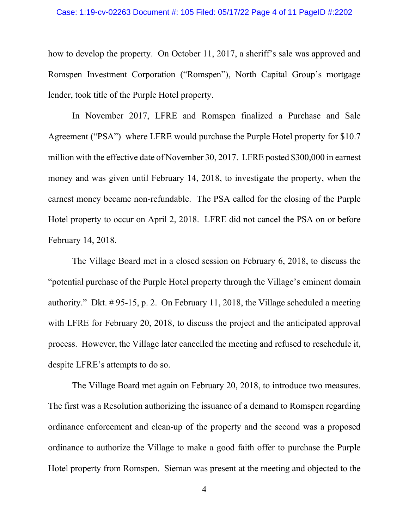### Case: 1:19-cv-02263 Document #: 105 Filed: 05/17/22 Page 4 of 11 PageID #:2202

how to develop the property. On October 11, 2017, a sheriff's sale was approved and Romspen Investment Corporation ("Romspen"), North Capital Group's mortgage lender, took title of the Purple Hotel property.

In November 2017, LFRE and Romspen finalized a Purchase and Sale Agreement ("PSA") where LFRE would purchase the Purple Hotel property for \$10.7 million with the effective date of November 30, 2017. LFRE posted \$300,000 in earnest money and was given until February 14, 2018, to investigate the property, when the earnest money became non-refundable. The PSA called for the closing of the Purple Hotel property to occur on April 2, 2018. LFRE did not cancel the PSA on or before February 14, 2018.

The Village Board met in a closed session on February 6, 2018, to discuss the "potential purchase of the Purple Hotel property through the Village's eminent domain authority." Dkt. # 95-15, p. 2. On February 11, 2018, the Village scheduled a meeting with LFRE for February 20, 2018, to discuss the project and the anticipated approval process. However, the Village later cancelled the meeting and refused to reschedule it, despite LFRE's attempts to do so.

The Village Board met again on February 20, 2018, to introduce two measures. The first was a Resolution authorizing the issuance of a demand to Romspen regarding ordinance enforcement and clean-up of the property and the second was a proposed ordinance to authorize the Village to make a good faith offer to purchase the Purple Hotel property from Romspen. Sieman was present at the meeting and objected to the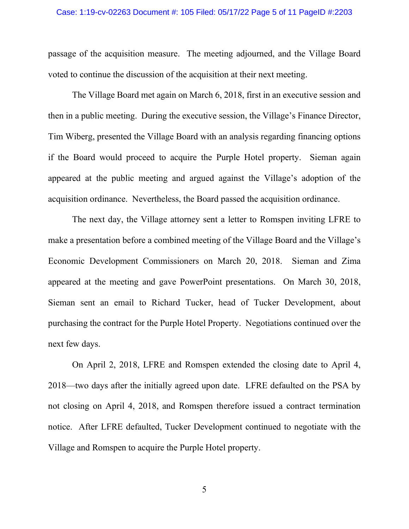### Case: 1:19-cv-02263 Document #: 105 Filed: 05/17/22 Page 5 of 11 PageID #:2203

passage of the acquisition measure. The meeting adjourned, and the Village Board voted to continue the discussion of the acquisition at their next meeting.

The Village Board met again on March 6, 2018, first in an executive session and then in a public meeting. During the executive session, the Village's Finance Director, Tim Wiberg, presented the Village Board with an analysis regarding financing options if the Board would proceed to acquire the Purple Hotel property. Sieman again appeared at the public meeting and argued against the Village's adoption of the acquisition ordinance. Nevertheless, the Board passed the acquisition ordinance.

The next day, the Village attorney sent a letter to Romspen inviting LFRE to make a presentation before a combined meeting of the Village Board and the Village's Economic Development Commissioners on March 20, 2018. Sieman and Zima appeared at the meeting and gave PowerPoint presentations. On March 30, 2018, Sieman sent an email to Richard Tucker, head of Tucker Development, about purchasing the contract for the Purple Hotel Property. Negotiations continued over the next few days.

On April 2, 2018, LFRE and Romspen extended the closing date to April 4, 2018—two days after the initially agreed upon date. LFRE defaulted on the PSA by not closing on April 4, 2018, and Romspen therefore issued a contract termination notice. After LFRE defaulted, Tucker Development continued to negotiate with the Village and Romspen to acquire the Purple Hotel property.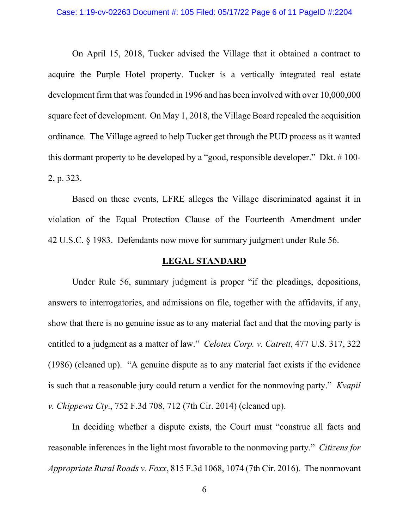On April 15, 2018, Tucker advised the Village that it obtained a contract to acquire the Purple Hotel property. Tucker is a vertically integrated real estate development firm that was founded in 1996 and has been involved with over 10,000,000 square feet of development. On May 1, 2018, the Village Board repealed the acquisition ordinance. The Village agreed to help Tucker get through the PUD process as it wanted this dormant property to be developed by a "good, responsible developer." Dkt. # 100- 2, p. 323.

Based on these events, LFRE alleges the Village discriminated against it in violation of the Equal Protection Clause of the Fourteenth Amendment under 42 U.S.C. § 1983. Defendants now move for summary judgment under Rule 56.

## **LEGAL STANDARD**

Under Rule 56, summary judgment is proper "if the pleadings, depositions, answers to interrogatories, and admissions on file, together with the affidavits, if any, show that there is no genuine issue as to any material fact and that the moving party is entitled to a judgment as a matter of law." *Celotex Corp. v. Catrett*, 477 U.S. 317, 322 (1986) (cleaned up). "A genuine dispute as to any material fact exists if the evidence is such that a reasonable jury could return a verdict for the nonmoving party." *Kvapil v. Chippewa Cty*., 752 F.3d 708, 712 (7th Cir. 2014) (cleaned up).

In deciding whether a dispute exists, the Court must "construe all facts and reasonable inferences in the light most favorable to the nonmoving party." *Citizens for Appropriate Rural Roads v. Foxx*, 815 F.3d 1068, 1074 (7th Cir. 2016). The nonmovant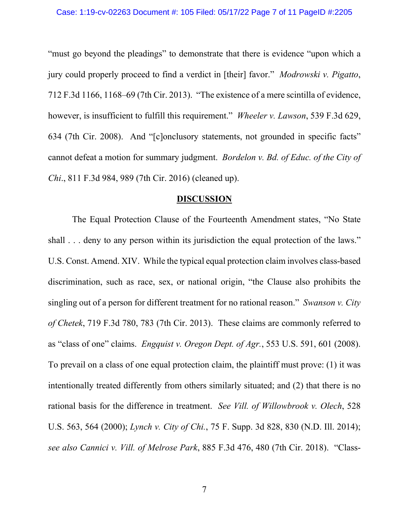"must go beyond the pleadings" to demonstrate that there is evidence "upon which a jury could properly proceed to find a verdict in [their] favor." *Modrowski v. Pigatto*, 712 F.3d 1166, 1168–69 (7th Cir. 2013). "The existence of a mere scintilla of evidence, however, is insufficient to fulfill this requirement." *Wheeler v. Lawson*, 539 F.3d 629, 634 (7th Cir. 2008). And "[c]onclusory statements, not grounded in specific facts" cannot defeat a motion for summary judgment. *Bordelon v. Bd. of Educ. of the City of Chi*., 811 F.3d 984, 989 (7th Cir. 2016) (cleaned up).

### **DISCUSSION**

The Equal Protection Clause of the Fourteenth Amendment states, "No State shall . . . deny to any person within its jurisdiction the equal protection of the laws." U.S. Const. Amend. XIV. While the typical equal protection claim involves class-based discrimination, such as race, sex, or national origin, "the Clause also prohibits the singling out of a person for different treatment for no rational reason." *Swanson v. City of Chetek*, 719 F.3d 780, 783 (7th Cir. 2013). These claims are commonly referred to as "class of one" claims. *Engquist v. Oregon Dept. of Agr.*, 553 U.S. 591, 601 (2008). To prevail on a class of one equal protection claim, the plaintiff must prove: (1) it was intentionally treated differently from others similarly situated; and (2) that there is no rational basis for the difference in treatment. *See Vill. of Willowbrook v. Olech*, 528 U.S. 563, 564 (2000); *Lynch v. City of Chi.*, 75 F. Supp. 3d 828, 830 (N.D. Ill. 2014); *see also Cannici v. Vill. of Melrose Park*, 885 F.3d 476, 480 (7th Cir. 2018). "Class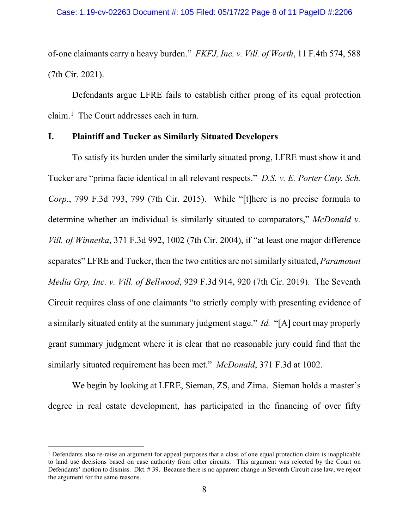of-one claimants carry a heavy burden." *FKFJ, Inc. v. Vill. of Worth*, 11 F.4th 574, 588 (7th Cir. 2021).

Defendants argue LFRE fails to establish either prong of its equal protection claim.<sup>[1](#page-7-0)</sup> The Court addresses each in turn.

## **I. Plaintiff and Tucker as Similarly Situated Developers**

To satisfy its burden under the similarly situated prong, LFRE must show it and Tucker are "prima facie identical in all relevant respects." *D.S. v. E. Porter Cnty. Sch. Corp.*, 799 F.3d 793, 799 (7th Cir. 2015). While "[t]here is no precise formula to determine whether an individual is similarly situated to comparators," *McDonald v. Vill. of Winnetka*, 371 F.3d 992, 1002 (7th Cir. 2004), if "at least one major difference separates" LFRE and Tucker, then the two entities are not similarly situated, *Paramount Media Grp, Inc. v. Vill. of Bellwood*, 929 F.3d 914, 920 (7th Cir. 2019). The Seventh Circuit requires class of one claimants "to strictly comply with presenting evidence of a similarly situated entity at the summary judgment stage." *Id.* "[A] court may properly grant summary judgment where it is clear that no reasonable jury could find that the similarly situated requirement has been met." *McDonald*, 371 F.3d at 1002.

We begin by looking at LFRE, Sieman, ZS, and Zima. Sieman holds a master's degree in real estate development, has participated in the financing of over fifty

<span id="page-7-0"></span> $1$  Defendants also re-raise an argument for appeal purposes that a class of one equal protection claim is inapplicable to land use decisions based on case authority from other circuits. This argument was rejected by the Court on Defendants' motion to dismiss. Dkt. # 39. Because there is no apparent change in Seventh Circuit case law, we reject the argument for the same reasons.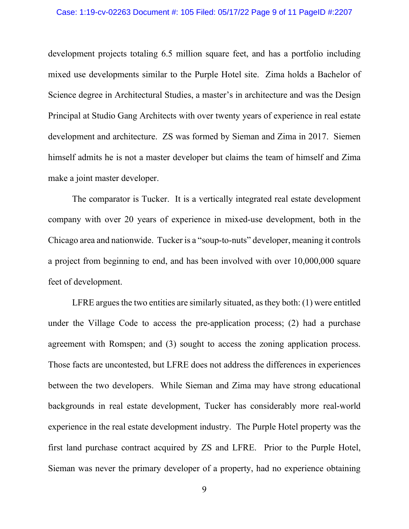### Case: 1:19-cv-02263 Document #: 105 Filed: 05/17/22 Page 9 of 11 PageID #:2207

development projects totaling 6.5 million square feet, and has a portfolio including mixed use developments similar to the Purple Hotel site. Zima holds a Bachelor of Science degree in Architectural Studies, a master's in architecture and was the Design Principal at Studio Gang Architects with over twenty years of experience in real estate development and architecture. ZS was formed by Sieman and Zima in 2017. Siemen himself admits he is not a master developer but claims the team of himself and Zima make a joint master developer.

The comparator is Tucker. It is a vertically integrated real estate development company with over 20 years of experience in mixed-use development, both in the Chicago area and nationwide. Tucker is a "soup-to-nuts" developer, meaning it controls a project from beginning to end, and has been involved with over 10,000,000 square feet of development.

LFRE argues the two entities are similarly situated, as they both: (1) were entitled under the Village Code to access the pre-application process; (2) had a purchase agreement with Romspen; and (3) sought to access the zoning application process. Those facts are uncontested, but LFRE does not address the differences in experiences between the two developers. While Sieman and Zima may have strong educational backgrounds in real estate development, Tucker has considerably more real-world experience in the real estate development industry. The Purple Hotel property was the first land purchase contract acquired by ZS and LFRE. Prior to the Purple Hotel, Sieman was never the primary developer of a property, had no experience obtaining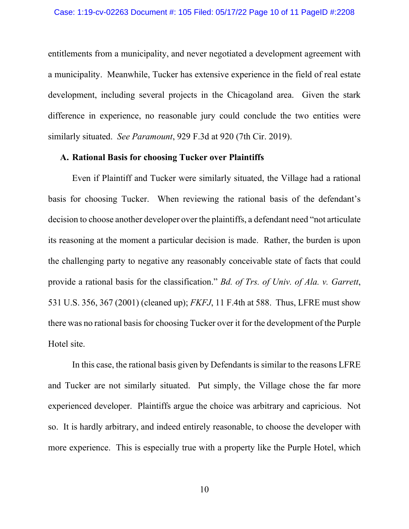entitlements from a municipality, and never negotiated a development agreement with a municipality. Meanwhile, Tucker has extensive experience in the field of real estate development, including several projects in the Chicagoland area. Given the stark difference in experience, no reasonable jury could conclude the two entities were similarly situated. *See Paramount*, 929 F.3d at 920 (7th Cir. 2019).

## **A. Rational Basis for choosing Tucker over Plaintiffs**

Even if Plaintiff and Tucker were similarly situated, the Village had a rational basis for choosing Tucker. When reviewing the rational basis of the defendant's decision to choose another developer over the plaintiffs, a defendant need "not articulate its reasoning at the moment a particular decision is made. Rather, the burden is upon the challenging party to negative any reasonably conceivable state of facts that could provide a rational basis for the classification." *Bd. of Trs. of Univ. of Ala. v. Garrett*, 531 U.S. 356, 367 (2001) (cleaned up); *FKFJ*, 11 F.4th at 588. Thus, LFRE must show there was no rational basis for choosing Tucker over it for the development of the Purple Hotel site.

In this case, the rational basis given by Defendants is similar to the reasons LFRE and Tucker are not similarly situated. Put simply, the Village chose the far more experienced developer. Plaintiffs argue the choice was arbitrary and capricious. Not so. It is hardly arbitrary, and indeed entirely reasonable, to choose the developer with more experience. This is especially true with a property like the Purple Hotel, which